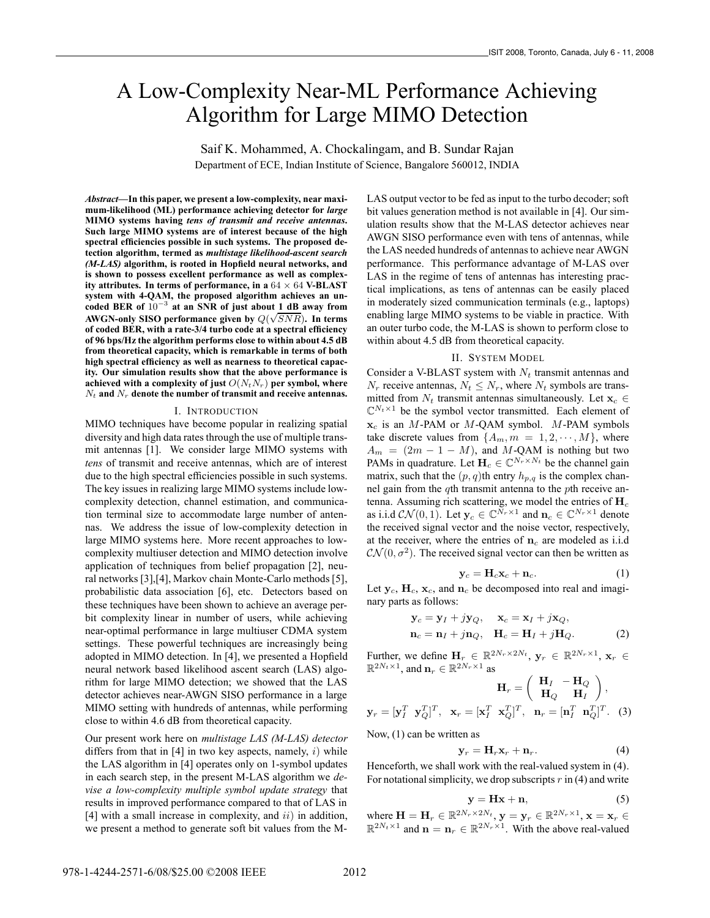# A Low-Complexity Near-ML Performance Achieving Algorithm for Large MIMO Detection

Saif K. Mohammed, A. Chockalingam, and B. Sundar Rajan

Department of ECE, Indian Institute of Science, Bangalore 560012, INDIA

*Abstract***—In this paper, we present a low-complexity, near maximum-likelihood (ML) performance achieving detector for** *large* **MIMO systems having** *tens of transmit and receive antennas***. Such large MIMO systems are of interest because of the high spectral efficiencies possible in such systems. The proposed detection algorithm, termed as** *multistage likelihood-ascent search (M-LAS)* **algorithm, is rooted in Hopfield neural networks, and is shown to possess excellent performance as well as complexity attributes. In terms of performance, in a** 64 × 64 **V-BLAST system with 4-QAM, the proposed algorithm achieves an uncoded BER of** 10<sup>−</sup><sup>3</sup> **at an SNR of just about 1 dB away from AWGN-only SISO performance given by**  $Q(\sqrt{SNR})$ . In terms **of coded BER, with a rate-3/4 turbo code at a spectral efficiency of 96 bps/Hz the algorithm performs close to within about 4.5 dB from theoretical capacity, which is remarkable in terms of both high spectral efficiency as well as nearness to theoretical capacity. Our simulation results show that the above performance is** achieved with a complexity of just  $O(N_tN_r)$  per symbol, where  $N_t$  and  $N_r$  denote the number of transmit and receive antennas.

#### I. INTRODUCTION

MIMO techniques have become popular in realizing spatial diversity and high data rates through the use of multiple transmit antennas [1]. We consider large MIMO systems with *tens* of transmit and receive antennas, which are of interest due to the high spectral efficiencies possible in such systems. The key issues in realizing large MIMO systems include lowcomplexity detection, channel estimation, and communication terminal size to accommodate large number of antennas. We address the issue of low-complexity detection in large MIMO systems here. More recent approaches to lowcomplexity multiuser detection and MIMO detection involve application of techniques from belief propagation [2], neural networks [3],[4], Markov chain Monte-Carlo methods [5], probabilistic data association [6], etc. Detectors based on these techniques have been shown to achieve an average perbit complexity linear in number of users, while achieving near-optimal performance in large multiuser CDMA system settings. These powerful techniques are increasingly being adopted in MIMO detection. In [4], we presented a Hopfield neural network based likelihood ascent search (LAS) algorithm for large MIMO detection; we showed that the LAS detector achieves near-AWGN SISO performance in a large MIMO setting with hundreds of antennas, while performing close to within 4.6 dB from theoretical capacity.

Our present work here on *multistage LAS (M-LAS) detector* differs from that in  $[4]$  in two key aspects, namely, i) while the LAS algorithm in [4] operates only on 1-symbol updates in each search step, in the present M-LAS algorithm we *devise a low-complexity multiple symbol update strategy* that results in improved performance compared to that of LAS in [4] with a small increase in complexity, and  $ii$ ) in addition, we present a method to generate soft bit values from the M- LAS output vector to be fed as input to the turbo decoder; soft bit values generation method is not available in [4]. Our simulation results show that the M-LAS detector achieves near AWGN SISO performance even with tens of antennas, while the LAS needed hundreds of antennas to achieve near AWGN performance. This performance advantage of M-LAS over LAS in the regime of tens of antennas has interesting practical implications, as tens of antennas can be easily placed in moderately sized communication terminals (e.g., laptops) enabling large MIMO systems to be viable in practice. With an outer turbo code, the M-LAS is shown to perform close to within about 4.5 dB from theoretical capacity.

## II. SYSTEM MODEL

Consider a V-BLAST system with  $N_t$  transmit antennas and  $N_r$  receive antennas,  $N_t \leq N_r$ , where  $N_t$  symbols are transmitted from  $N_t$  transmit antennas simultaneously. Let  $\mathbf{x}_c \in$  $\mathbb{C}^{N_t\times 1}$  be the symbol vector transmitted. Each element of  $x_c$  is an M-PAM or M-QAM symbol. M-PAM symbols take discrete values from  $\{A_m, m = 1, 2, \cdots, M\}$ , where  $A_m = (2m - 1 - M)$ , and M-QAM is nothing but two PAMs in quadrature. Let  $H_c \in \mathbb{C}^{N_r \times N_t}$  be the channel gain matrix, such that the  $(p, q)$ th entry  $h_{p,q}$  is the complex channel gain from the qth transmit antenna to the pth receive antenna. Assuming rich scattering, we model the entries of  $H_c$ as i.i.d  $CN(0, 1)$ . Let  $y_c \in \mathbb{C}^{N_r \times 1}$  and  $n_c \in \mathbb{C}^{N_r \times 1}$  denote the received signal vector and the noise vector, respectively, at the receiver, where the entries of  $n_c$  are modeled as i.i.d  $\mathcal{CN}(0, \sigma^2)$ . The received signal vector can then be written as

$$
\mathbf{y}_c = \mathbf{H}_c \mathbf{x}_c + \mathbf{n}_c. \tag{1}
$$

Let  $y_c$ ,  $H_c$ ,  $x_c$ , and  $n_c$  be decomposed into real and imaginary parts as follows:

$$
\mathbf{y}_c = \mathbf{y}_I + j\mathbf{y}_Q, \quad \mathbf{x}_c = \mathbf{x}_I + j\mathbf{x}_Q, \n\mathbf{n}_c = \mathbf{n}_I + j\mathbf{n}_Q, \quad \mathbf{H}_c = \mathbf{H}_I + j\mathbf{H}_Q.
$$
\n(2)

Further, we define  $\mathbf{H}_r \in \mathbb{R}^{2N_r \times 2N_t}$ ,  $\mathbf{y}_r \in \mathbb{R}^{2N_r \times 1}$ ,  $\mathbf{x}_r \in \mathbb{R}^{2N_t \times 1}$  $\mathbb{R}^{2N_t\times1}$ , and  $\mathbf{n}_r \in \mathbb{R}^{2N_r\times1}$  as

$$
\mathbf{H}_r = \begin{pmatrix} \mathbf{H}_I & -\mathbf{H}_Q \\ \mathbf{H}_Q & \mathbf{H}_I \end{pmatrix},
$$

$$
\mathbf{y}_r = [\mathbf{y}_I^T \ \mathbf{y}_Q^T]^T, \ \mathbf{x}_r = [\mathbf{x}_I^T \ \mathbf{x}_Q^T]^T, \ \mathbf{n}_r = [\mathbf{n}_I^T \ \mathbf{n}_Q^T]^T. \tag{3}
$$

Now, (1) can be written as

$$
\mathbf{y}_r = \mathbf{H}_r \mathbf{x}_r + \mathbf{n}_r. \tag{4}
$$

Henceforth, we shall work with the real-valued system in (4). For notational simplicity, we drop subscripts  $r$  in (4) and write

$$
y = Hx + n,\t\t(5)
$$

where  $\mathbf{H} = \mathbf{H}_r \in \mathbb{R}^{2N_r \times 2N_t}$ ,  $\mathbf{y} = \mathbf{y}_r \in \mathbb{R}^{2N_r \times 1}$ ,  $\mathbf{x} = \mathbf{x}_r \in \mathbb{R}^{2N_t \times 1}$  $\mathbb{R}^{2N_t \times 1}$  and  $\mathbf{n} = \mathbf{n}_r \in \mathbb{R}^{2N_r \times 1}$ . With the above real-valued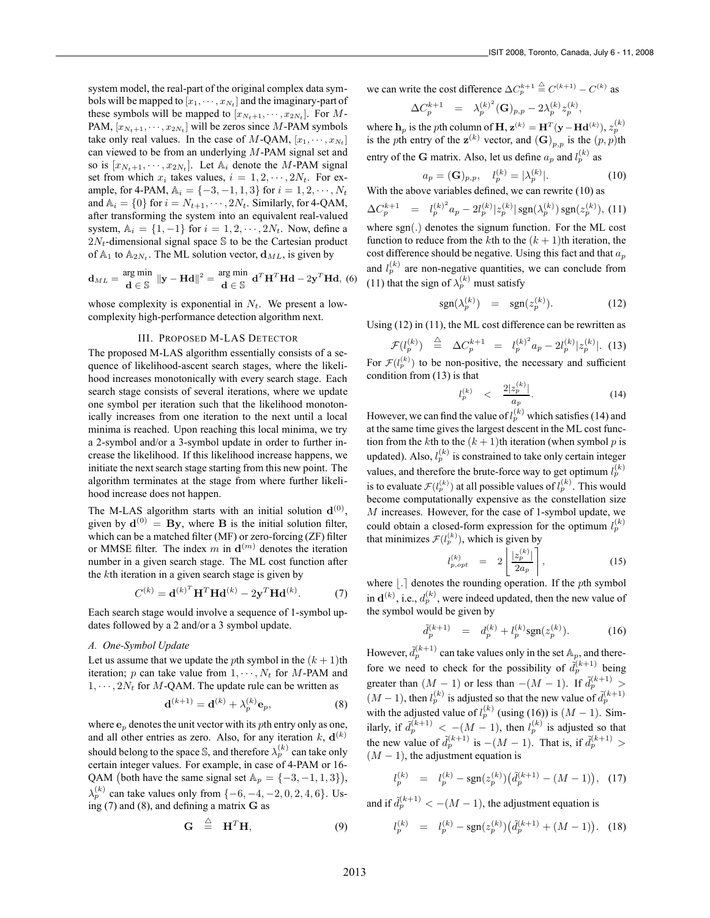system model, the real-part of the original complex data symbols will be mapped to  $[x_1, \dots, x_{N_t}]$  and the imaginary-part of these symbols will be mapped to  $[x_{N_t+1}, \dots, x_{2N_t}].$  For  $M$ -PAM,  $[x_{N_t+1}, \dots, x_{2N_t}]$  will be zeros since M-PAM symbols take only real values. In the case of M-QAM,  $[x_1, \dots, x_{N_t}]$ can viewed to be from an underlying M-PAM signal set and so is  $[x_{N_t+1}, \dots, x_{2N_t}]$ . Let  $\mathbb{A}_i$  denote the M-PAM signal set from which  $x_i$  takes values,  $i = 1, 2, \dots, 2N_t$ . For example, for 4-PAM,  $\mathbb{A}_i = \{-3, -1, 1, 3\}$  for  $i = 1, 2, \dots, N_t$ and  $\mathbb{A}_i = \{0\}$  for  $i = N_{t+1}, \dots, 2N_t$ . Similarly, for 4-QAM, after transforming the system into an equivalent real-valued system,  $\mathbb{A}_i = \{1, -1\}$  for  $i = 1, 2, \dots, 2N_t$ . Now, define a  $2N_t$ -dimensional signal space S to be the Cartesian product of  $A_1$  to  $A_{2N_t}$ . The ML solution vector,  $\mathbf{d}_{ML}$ , is given by

$$
\mathbf{d}_{ML} = \frac{\text{arg min}}{\mathbf{d} \in \mathbb{S}} \left\| \mathbf{y} - \mathbf{H} \mathbf{d} \right\|^2 = \frac{\text{arg min}}{\mathbf{d} \in \mathbb{S}} \mathbf{d}^T \mathbf{H}^T \mathbf{H} \mathbf{d} - 2\mathbf{y}^T \mathbf{H} \mathbf{d}, \tag{6}
$$

whose complexity is exponential in  $N_t$ . We present a lowcomplexity high-performance detection algorithm next.

#### III. PROPOSED M-LAS DETECTOR

The proposed M-LAS algorithm essentially consists of a sequence of likelihood-ascent search stages, where the likelihood increases monotonically with every search stage. Each search stage consists of several iterations, where we update one symbol per iteration such that the likelihood monotonically increases from one iteration to the next until a local minima is reached. Upon reaching this local minima, we try a 2-symbol and/or a 3-symbol update in order to further increase the likelihood. If this likelihood increase happens, we initiate the next search stage starting from this new point. The algorithm terminates at the stage from where further likelihood increase does not happen.

The M-LAS algorithm starts with an initial solution  $\mathbf{d}^{(0)}$ , given by  $\mathbf{d}^{(0)} = \mathbf{B} \mathbf{y}$ , where **B** is the initial solution filter, which can be a matched filter (MF) or zero-forcing (ZF) filter or MMSE filter. The index  $m$  in  $\mathbf{d}^{(m)}$  denotes the iteration number in a given search stage. The ML cost function after the kth iteration in a given search stage is given by

$$
C^{(k)} = \mathbf{d}^{(k)^T} \mathbf{H}^T \mathbf{H} \mathbf{d}^{(k)} - 2\mathbf{y}^T \mathbf{H} \mathbf{d}^{(k)}.
$$
 (7)

Each search stage would involve a sequence of 1-symbol updates followed by a 2 and/or a 3 symbol update.

#### *A. One-Symbol Update*

Let us assume that we update the pth symbol in the  $(k + 1)$ th iteration; p can take value from  $1, \dots, N_t$  for M-PAM and  $1, \dots, 2N_t$  for M-QAM. The update rule can be written as

$$
\mathbf{d}^{(k+1)} = \mathbf{d}^{(k)} + \lambda_p^{(k)} \mathbf{e}_p,\tag{8}
$$

where  $\mathbf{e}_p$  denotes the unit vector with its *p*th entry only as one, and all other entries as zero. Also, for any iteration  $k$ ,  $\mathbf{d}^{(k)}$ should belong to the space S, and therefore  $\lambda_p^{(k)}$  can take only certain integer values. For example, in case of 4-PAM or 16- QAM (both have the same signal set  $\mathbb{A}_p = \{-3, -1, 1, 3\}$ ),  $\lambda_p^{(k)}$  can take values only from  $\{-6, -4, -2, 0, 2, 4, 6\}$ . Using (7) and (8), and defining a matrix **G** as

$$
\mathbf{G} \triangleq \mathbf{H}^T \mathbf{H}, \tag{9}
$$

we can write the cost difference  $\Delta C_p^{k+1} \stackrel{\triangle}{=} C^{(k+1)} - C^{(k)}$  as

$$
\Delta C_p^{k+1} \ \ = \ \ \lambda_p^{(k)^2}({\bf G})_{p,p} - 2 \lambda_p^{(k)} z_p^{(k)},
$$

where **h**<sub>p</sub> is the pth column of **H**,  $\mathbf{z}^{(k)} = \mathbf{H}^T(\mathbf{y} - \mathbf{H}\mathbf{d}^{(k)}), z_p^{(k)}$ is the pth entry of the  $\mathbf{z}^{(k)}$  vector, and  $(\mathbf{G})_{p,p}$  is the  $(p, p)$ th entry of the **G** matrix. Also, let us define  $a_p$  and  $l_p^{(k)}$  as

$$
a_p = (\mathbf{G})_{p,p}, \quad l_p^{(k)} = |\lambda_p^{(k)}|.
$$
 (10)

With the above variables defined, we can rewrite (10) as

 $\Delta C_p^{k+1} = l_p^{(k)^2} a_p - 2l_p^{(k)} |z_p^{(k)}| \operatorname{sgn}(\lambda_p^{(k)}) \operatorname{sgn}(z_p^{(k)}),$  (11) where sgn(.) denotes the signum function. For the ML cost function to reduce from the kth to the  $(k + 1)$ th iteration, the cost difference should be negative. Using this fact and that  $a_p$ and  $l_p^{(k)}$  are non-negative quantities, we can conclude from (11) that the sign of  $\lambda_p^{(k)}$  must satisfy

$$
\operatorname{sgn}(\lambda_p^{(k)}) = \operatorname{sgn}(z_p^{(k)}). \tag{12}
$$

Using (12) in (11), the ML cost difference can be rewritten as

$$
\mathcal{F}(l_p^{(k)}) \stackrel{\triangle}{=} \Delta C_p^{k+1} = l_p^{(k)^2} a_p - 2l_p^{(k)} |z_p^{(k)}|.
$$
 (13)

For  $\mathcal{F}(l_p^{(k)})$  to be non-positive, the necessary and sufficient condition from (13) is that

$$
l_p^{(k)} \quad < \quad \frac{2|z_p^{(k)}|}{a_p}.\tag{14}
$$

However, we can find the value of  $l_p^{(k)}$  which satisfies (14) and at the same time gives the largest descent in the ML cost function from the kth to the  $(k + 1)$ th iteration (when symbol p is updated). Also,  $l_p^{(k)}$  is constrained to take only certain integer values, and therefore the brute-force way to get optimum  $l_p^{(k)}$ is to evaluate  $\mathcal{F}(l_p^{(k)})$  at all possible values of  $l_p^{(k)}$ . This would become computationally expensive as the constellation size M increases. However, for the case of 1-symbol update, we could obtain a closed-form expression for the optimum  $l_p^{(k)}$ that minimizes  $\mathcal{F}(l_p^{(k)})$ , which is given by

$$
l_{p,opt}^{(k)} = 2\left\lfloor \frac{|z_p^{(k)}|}{2a_p} \right\rfloor, \tag{15}
$$

where  $| \cdot |$  denotes the rounding operation. If the pth symbol in  $\mathbf{d}^{(k)}$ , i.e.,  $d_p^{(k)}$ , were indeed updated, then the new value of the symbol would be given by

$$
\tilde{d}_p^{(k+1)} = d_p^{(k)} + l_p^{(k)} \text{sgn}(z_p^{(k)}).
$$
 (16)

However,  $\tilde{d}_p^{(k+1)}$  can take values only in the set  $\mathbb{A}_p$ , and therefore we need to check for the possibility of  $\tilde{d}_p^{(k+1)}$  being greater than  $(M-1)$  or less than  $-(M-1)$ . If  $\tilde{d}_p^{(k+1)}$  >  $(M-1)$ , then  $l_p^{(k)}$  is adjusted so that the new value of  $d_p^{(k+1)}$ with the adjusted value of  $l_p^{(k)}$  (using (16)) is  $(M - 1)$ . Similarly, if  $\tilde{d}_p^{(k+1)} < -(M-1)$ , then  $l_p^{(k)}$  is adjusted so that the new value of  $\tilde{d}_p^{(k+1)}$  is  $-(M-1)$ . That is, if  $\tilde{d}_p^{(k+1)}$  >  $(M - 1)$ , the adjustment equation is

$$
l_p^{(k)} = l_p^{(k)} - \text{sgn}(z_p^{(k)}) \big( \tilde{d}_p^{(k+1)} - (M-1) \big), \tag{17}
$$

and if  $\tilde{d}_p^{(k+1)} < -(M-1)$ , the adjustment equation is

$$
h_p^{(k)} = l_p^{(k)} - \text{sgn}(z_p^{(k)}) \left( \tilde{d}_p^{(k+1)} + (M-1) \right). \tag{18}
$$

l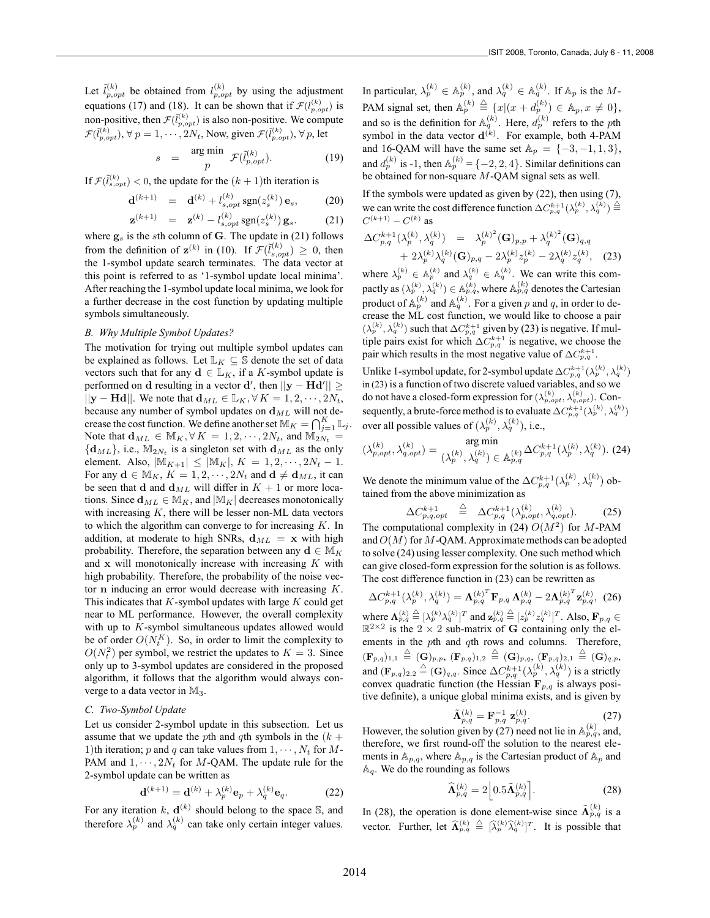Let  $\tilde{l}_{p,opt}^{(k)}$  be obtained from  $l_{p,opt}^{(k)}$  by using the adjustment equations (17) and (18). It can be shown that if  $\mathcal{F}(l_{p,opt}^{(k)})$  is non-positive, then  $\mathcal{F}(\tilde{l}_{p,opt}^{(k)})$  is also non-positive. We compute  $\mathcal{F}(\tilde{l}_{p,opt}^{(k)}), \forall~p=1,\cdots,2N_t,$  Now, given  $\mathcal{F}(\tilde{l}_{p,opt}^{(k)}), \forall~p,$  let

$$
s = \frac{\arg \min}{p} \mathcal{F}(\tilde{l}_{p,opt}^{(k)}).
$$
 (19)

If  $\mathcal{F}(\tilde{l}_{s,opt}^{(k)}) < 0$ , the update for the  $(k + 1)$ th iteration is

$$
\mathbf{d}^{(k+1)} = \mathbf{d}^{(k)} + l_{s,opt}^{(k)} \operatorname{sgn}(z_s^{(k)}) \mathbf{e}_s, \quad (20)
$$

$$
\mathbf{z}^{(k+1)} = \mathbf{z}^{(k)} - l_{s,opt}^{(k)} \operatorname{sgn}(z_s^{(k)}) \mathbf{g}_s. \tag{21}
$$

where  $g_s$  is the sth column of **G**. The update in (21) follows from the definition of  $\mathbf{z}^{(k)}$  in (10). If  $\mathcal{F}(\tilde{l}_{s,opt}^{(k)}) \geq 0$ , then the 1-symbol update search terminates. The data vector at this point is referred to as '1-symbol update local minima'. After reaching the 1-symbol update local minima, we look for a further decrease in the cost function by updating multiple symbols simultaneously.

### *B. Why Multiple Symbol Updates?*

The motivation for trying out multiple symbol updates can be explained as follows. Let  $\mathbb{L}_K \subseteq \mathbb{S}$  denote the set of data vectors such that for any  $\mathbf{d} \in \mathbb{L}_K$ , if a K-symbol update is performed on **d** resulting in a vector **d**', then  $||\mathbf{y} - \hat{\mathbf{H}} \mathbf{d}'|| \ge$  $||\mathbf{y} - \mathbf{H} \mathbf{d}||$ . We note that  $\mathbf{d}_{ML} \in \mathbb{L}_K$ ,  $\forall K = 1, 2, \dots, 2N_t$ , because any number of symbol updates on  $d_{ML}$  will not decrease the cost function. We define another set  $\mathbb{M}_K = \bigcap_{j=1}^K \mathbb{L}_j$ . Note that  $\mathbf{d}_{ML} \in M_K, \forall K = 1, 2, \cdots, 2N_t$ , and  $M_{2N_t} =$  $\{d_{ML}\}\$ , i.e.,  $\mathbb{M}_{2N_t}$  is a singleton set with  $d_{ML}$  as the only element. Also,  $|\mathbb{M}_{K+1}| \leq |\mathbb{M}_{K}|$ ,  $K = 1, 2, \cdots, 2N_t - 1$ . For any  $\mathbf{d} \in M_K$ ,  $K = 1, 2, \cdots, 2N_t$  and  $\mathbf{d} \neq \mathbf{d}_{ML}$ , it can be seen that **d** and  $d_{ML}$  will differ in  $K + 1$  or more locations. Since  $\mathbf{d}_{ML} \in M_K$ , and  $|M_K|$  decreases monotonically with increasing  $K$ , there will be lesser non-ML data vectors to which the algorithm can converge to for increasing  $K$ . In addition, at moderate to high SNRs,  $d_{ML}$  = **x** with high probability. Therefore, the separation between any **d**  $\in M_K$ and **x** will monotonically increase with increasing K with high probability. Therefore, the probability of the noise vector **n** inducing an error would decrease with increasing K. This indicates that  $K$ -symbol updates with large  $K$  could get near to ML performance. However, the overall complexity with up to  $K$ -symbol simultaneous updates allowed would be of order  $O(N_t^K)$ . So, in order to limit the complexity to  $O(N_t^2)$  per symbol, we restrict the updates to  $K = 3$ . Since only up to 3-symbol updates are considered in the proposed algorithm, it follows that the algorithm would always converge to a data vector in  $\mathbb{M}_3$ .

## *C. Two-Symbol Update*

Let us consider 2-symbol update in this subsection. Let us assume that we update the pth and qth symbols in the  $(k +$ 1)th iteration; p and q can take values from  $1, \dots, N_t$  for M-PAM and  $1, \dots, 2N_t$  for M-QAM. The update rule for the 2-symbol update can be written as

$$
\mathbf{d}^{(k+1)} = \mathbf{d}^{(k)} + \lambda_p^{(k)} \mathbf{e}_p + \lambda_q^{(k)} \mathbf{e}_q.
$$
 (22)

For any iteration  $k$ ,  $\mathbf{d}^{(k)}$  should belong to the space  $\mathbb{S}$ , and therefore  $\lambda_p^{(k)}$  and  $\lambda_q^{(k)}$  can take only certain integer values.

In particular,  $\lambda_p^{(k)} \in \mathbb{A}_p^{(k)}$ , and  $\lambda_q^{(k)} \in \mathbb{A}_q^{(k)}$ . If  $\mathbb{A}_p$  is the M-PAM signal set, then  $\mathbb{A}_p^{(k)} \triangleq \{x | (x + d_p^{(k)}) \in \mathbb{A}_p, x \neq 0\},$ and so is the definition for  $\mathbb{A}_q^{(k)}$ . Here,  $d_p^{(k)}$  refers to the pth symbol in the data vector  $\mathbf{d}^{(k)}$ . For example, both 4-PAM and 16-QAM will have the same set  $\mathbb{A}_p = \{-3, -1, 1, 3\},\$ and  $d_p^{(k)}$  is -1, then  $\mathbb{A}_p^{(k)} = \{-2, 2, 4\}$ . Similar definitions can be obtained for non-square M-QAM signal sets as well.

If the symbols were updated as given by (22), then using (7), we can write the cost difference function  $\Delta C^{k+1}_{p,q}(\lambda_p^{(k)},\lambda_q^{(k)}) \stackrel{\triangle}{=}$  $C^{(k+1)} - C^{(k)}$  as

$$
\Delta C_{p,q}^{k+1}(\lambda_p^{(k)},\lambda_q^{(k)}) = \lambda_p^{(k)^2}(\mathbf{G})_{p,p} + \lambda_q^{(k)^2}(\mathbf{G})_{q,q} + 2\lambda_p^{(k)}\lambda_q^{(k)}(\mathbf{G})_{p,q} - 2\lambda_p^{(k)}z_p^{(k)} - 2\lambda_q^{(k)}z_q^{(k)},
$$
 (23)

where  $\lambda_p^{(k)} \in \mathbb{A}_p^{(k)}$  and  $\lambda_q^{(k)} \in \mathbb{A}_q^{(k)}$ . We can write this compactly as  $(\lambda_p^{(k)}, \lambda_q^{(k)}) \in \mathbb{A}_{p,q}^{(k)}$ , where  $\mathbb{A}_{p,q}^{(k)}$  denotes the Cartesian product of  $\mathbb{A}_p^{(k)}$  and  $\mathbb{A}_q^{(k)}$ . For a given p and q, in order to decrease the ML cost function, we would like to choose a pair  $(\lambda_p^{(k)}, \lambda_q^{(k)})$  such that  $\Delta C_{p,q}^{k+1}$  given by (23) is negative. If multiple pairs exist for which  $\Delta C_{p,q}^{k+1}$  is negative, we choose the pair which results in the most negative value of  $\Delta C_{p,q}^{k+1}$ .

Unlike 1-symbol update, for 2-symbol update  $\Delta C^{k+1}_{p,q}(\lambda_p^{(k)},\lambda_q^{(k)})$ in (23) is a function of two discrete valued variables, and so we do not have a closed-form expression for  $(\lambda_{p, opt}^{(k)}, \lambda_{q, opt}^{(k)})$ . Consequently, a brute-force method is to evaluate  $\Delta C^{k+1}_{p,q}(\lambda_p^{(k)},\lambda_q^{(k)})$ over all possible values of  $(\lambda_p^{(k)}, \lambda_q^{(k)})$ , i.e.,

$$
(\lambda_{p,opt}^{(k)}, \lambda_{q,opt}^{(k)}) = \argmin_{\substack{(\lambda_p^{(k)}, \lambda_q^{(k)}) \in \mathbb{A}_{p,q}^{(k)}}} \Delta C_{p,q}^{k+1}(\lambda_p^{(k)}, \lambda_q^{(k)})
$$
. (24)

We denote the minimum value of the  $\Delta C^{k+1}_{p,q}(\lambda_p^{(k)},\lambda_q^{(k)})$  obtained from the above minimization as

$$
\Delta C_{p,q,opt}^{k+1} \stackrel{\triangle}{=} \Delta C_{p,q}^{k+1}(\lambda_{p,opt}^{(k)}, \lambda_{q,opt}^{(k)}).
$$
 (25)

The computational complexity in (24)  $O(M^2)$  for M-PAM and  $O(M)$  for M-QAM. Approximate methods can be adopted to solve (24) using lesser complexity. One such method which can give closed-form expression for the solution is as follows. The cost difference function in (23) can be rewritten as

$$
\Delta C_{p,q}^{k+1}(\lambda_p^{(k)},\lambda_q^{(k)}) = \mathbf{\Lambda}_{p,q}^{(k)} \mathbf{F}_{p,q} \mathbf{\Lambda}_{p,q}^{(k)} - 2\mathbf{\Lambda}_{p,q}^{(k)^T} \mathbf{z}_{p,q}^{(k)},
$$
 (26)  
where  $\mathbf{\Lambda}_{p,q}^{(k)} \stackrel{\triangle}{=} [\lambda_p^{(k)} \lambda_q^{(k)}]^T$  and  $\mathbf{z}_{p,q}^{(k)} \stackrel{\triangle}{=} [z_p^{(k)} z_q^{(k)}]^T$ . Also,  $\mathbf{F}_{p,q} \in$   
 $\mathbb{R}^{2 \times 2}$  is the 2 × 2 sub-matrix of **G** containing only the elements in the *p*th and *q*th rows and columns. Therefore,  
 $(\mathbf{F}_{p,q})_{1,1} \stackrel{\triangle}{=} (\mathbf{G})_{p,p}$ ,  $(\mathbf{F}_{p,q})_{1,2} \stackrel{\triangle}{=} (\mathbf{G})_{p,q}$ ,  $(\mathbf{F}_{p,q})_{2,1} \stackrel{\triangle}{=} (\mathbf{G})_{q,p}$ ,  
and  $(\mathbf{F}_{p,q}) \stackrel{\triangle}{=} (\mathbf{G})$ . Since  $\Delta C_{p+1}^{k+1}(\lambda_p^{(k)}) \stackrel{\triangle}{=} (\lambda_p^{(k)})$  is a strictly

and  $(\mathbf{F}_{p,q})_{2,2} \triangleq (\mathbf{G})_{q,q}$ . Since  $\Delta C^{k+1}_{p,q}(\lambda_p^{(k)}, \lambda_q^{(k)})$  is a strictly convex quadratic function (the Hessian  $\mathbf{F}_{p,q}$  is always positive definite), a unique global minima exists, and is given by

$$
\tilde{\mathbf{\Lambda}}_{p,q}^{(k)} = \mathbf{F}_{p,q}^{-1} \mathbf{z}_{p,q}^{(k)}.
$$
 (27)

However, the solution given by (27) need not lie in  $\mathbb{A}_{p,q}^{(\kappa)}$ , and, therefore, we first round-off the solution to the nearest elements in  $A_{p,q}$ , where  $A_{p,q}$  is the Cartesian product of  $A_p$  and  $A_q$ . We do the rounding as follows

$$
\widehat{\mathbf{\Lambda}}_{p,q}^{(k)} = 2 \left[ 0.5 \widetilde{\mathbf{\Lambda}}_{p,q}^{(k)} \right]. \tag{28}
$$

In (28), the operation is done element-wise since  $\tilde{\Lambda}_{p,q}^{(k)}$  is a vector. Further, let  $\widehat{\mathbf{\Lambda}}_{p,q}^{(k)} \triangleq [\widehat{\lambda}_p^{(k)} \widehat{\lambda}_q^{(k)}]^T$ . It is possible that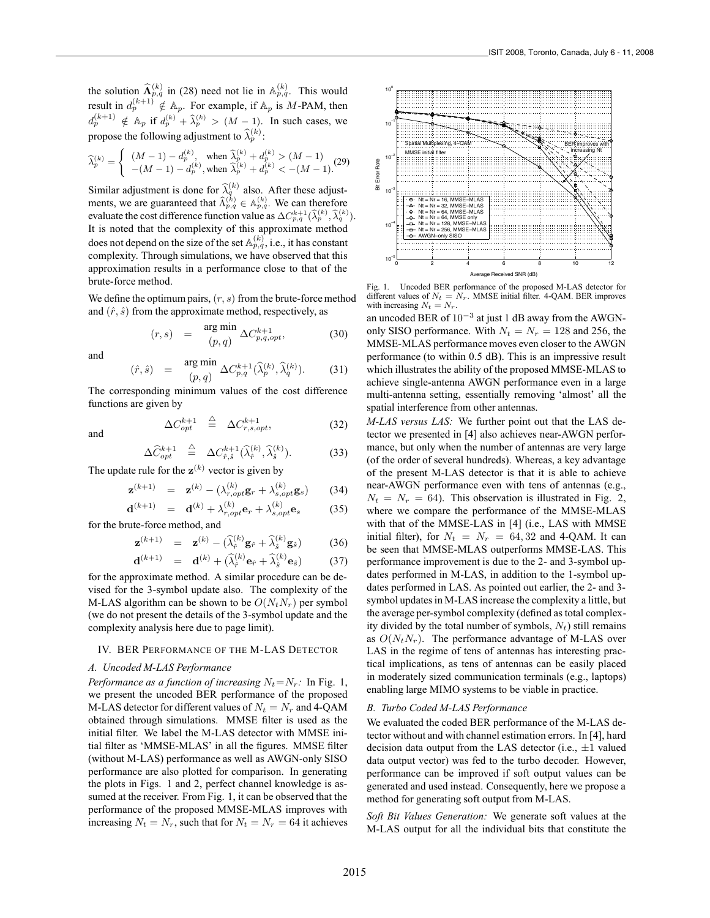the solution  $\widehat{\mathbf{\Lambda}}_{p,q}^{(k)}$  in (28) need not lie in  $\mathbb{A}_{p,q}^{(k)}$ . This would result in  $d_p^{(k+1)} \notin A_p$ . For example, if  $A_p$  is M-PAM, then  $d_p^{(k+1)} \notin A_p$  if  $d_p^{(k)} + \widehat{\lambda}_p^{(k)} > (M-1)$ . In such cases, we propose the following adjustment to  $\hat{\lambda}_p^{(k)}$ :

$$
\widehat{\lambda}_p^{(k)} = \begin{cases}\n(M-1) - d_p^{(k)}, & \text{when } \widehat{\lambda}_p^{(k)} + d_p^{(k)} > (M-1) \\
-(M-1) - d_p^{(k)}, & \text{when } \widehat{\lambda}_p^{(k)} + d_p^{(k)} < -(M-1).\n\end{cases}
$$
\n(29)

Similar adjustment is done for  $\hat{\lambda}_q^{(k)}$  also. After these adjustments, we are guaranteed that  $\widehat{\Lambda}_{p,q}^{(k)} \in \mathbb{A}_{p,q}^{(k)}$ . We can therefore evaluate the cost difference function value as  $\Delta C_{p,q}^{k+1}(\widehat{\lambda}_p^{(k)}, \widehat{\lambda}_q^{(k)})$ . It is noted that the complexity of this approximate method does not depend on the size of the set  $\mathbb{A}_{p,q}^{(k)}$ , i.e., it has constant complexity. Through simulations, we have observed that this approximation results in a performance close to that of the brute-force method.

We define the optimum pairs,  $(r, s)$  from the brute-force method and  $(\hat{r}, \hat{s})$  from the approximate method, respectively, as

$$
(r,s) = \underset{(p,q)}{\text{arg min}} \Delta C_{p,q,opt}^{k+1}, \tag{30}
$$

and

$$
(\hat{r}, \hat{s}) = \arg\min_{(p, q)} \Delta C_{p,q}^{k+1}(\widehat{\lambda}_p^{(k)}, \widehat{\lambda}_q^{(k)}).
$$
 (31)

The corresponding minimum values of the cost difference functions are given by

and

$$
\Delta \widehat{C}_{opt}^{k+1} \triangleq \Delta C_{\hat{r},\hat{s}}^{k+1} (\widehat{\lambda}_{\hat{r}}^{(k)}, \widehat{\lambda}_{\hat{s}}^{(k)}).
$$
 (33)

 $\stackrel{\triangle}{=} \Delta C_{r,s,opt}^{k+1},$  (32)

The update rule for the  $z^{(k)}$  vector is given by

 $\Delta C_{opt}^{k+1}$ 

$$
\mathbf{z}^{(k+1)} = \mathbf{z}^{(k)} - (\lambda_{r,opt}^{(k)}\mathbf{g}_r + \lambda_{s,opt}^{(k)}\mathbf{g}_s)
$$
(34)

$$
\mathbf{d}^{(k+1)} = \mathbf{d}^{(k)} + \lambda_{r,opt}^{(k)} \mathbf{e}_r + \lambda_{s,opt}^{(k)} \mathbf{e}_s \tag{35}
$$

for the brute-force method, and

$$
\mathbf{z}^{(k+1)} = \mathbf{z}^{(k)} - (\widehat{\lambda}_{\hat{r}}^{(k)} \mathbf{g}_{\hat{r}} + \widehat{\lambda}_{\hat{s}}^{(k)} \mathbf{g}_{\hat{s}})
$$
(36)

$$
\mathbf{d}^{(k+1)} = \mathbf{d}^{(k)} + (\widehat{\lambda}_{\hat{r}}^{(k)} \mathbf{e}_{\hat{r}} + \widehat{\lambda}_{\hat{s}}^{(k)} \mathbf{e}_{\hat{s}})
$$
(37)

for the approximate method. A similar procedure can be devised for the 3-symbol update also. The complexity of the M-LAS algorithm can be shown to be  $O(N_tN_r)$  per symbol (we do not present the details of the 3-symbol update and the complexity analysis here due to page limit).

# IV. BER PERFORMANCE OF THE M-LAS DETECTOR

# *A. Uncoded M-LAS Performance*

*Performance as a function of increasing*  $N_t = N_r$ : In Fig. 1, we present the uncoded BER performance of the proposed M-LAS detector for different values of  $N_t = N_r$  and 4-QAM obtained through simulations. MMSE filter is used as the initial filter. We label the M-LAS detector with MMSE initial filter as 'MMSE-MLAS' in all the figures. MMSE filter (without M-LAS) performance as well as AWGN-only SISO performance are also plotted for comparison. In generating the plots in Figs. 1 and 2, perfect channel knowledge is assumed at the receiver. From Fig. 1, it can be observed that the performance of the proposed MMSE-MLAS improves with increasing  $N_t = N_r$ , such that for  $N_t = N_r = 64$  it achieves



Fig. 1. Uncoded BER performance of the proposed M-LAS detector for different values of  $N_t = N_r$ . MMSE initial filter. 4-QAM. BER improves with increasing  $N_t = N_r$ .

an uncoded BER of 10<sup>−</sup><sup>3</sup> at just 1 dB away from the AWGNonly SISO performance. With  $N_t = N_r = 128$  and 256, the MMSE-MLAS performance moves even closer to the AWGN performance (to within 0.5 dB). This is an impressive result which illustrates the ability of the proposed MMSE-MLAS to achieve single-antenna AWGN performance even in a large multi-antenna setting, essentially removing 'almost' all the spatial interference from other antennas.

*M-LAS versus LAS:* We further point out that the LAS detector we presented in [4] also achieves near-AWGN performance, but only when the number of antennas are very large (of the order of several hundreds). Whereas, a key advantage of the present M-LAS detector is that it is able to achieve near-AWGN performance even with tens of antennas (e.g.,  $N_t = N_r = 64$ ). This observation is illustrated in Fig. 2, where we compare the performance of the MMSE-MLAS with that of the MMSE-LAS in [4] (i.e., LAS with MMSE initial filter), for  $N_t = N_r = 64,32$  and 4-QAM. It can be seen that MMSE-MLAS outperforms MMSE-LAS. This performance improvement is due to the 2- and 3-symbol updates performed in M-LAS, in addition to the 1-symbol updates performed in LAS. As pointed out earlier, the 2- and 3 symbol updates in M-LAS increase the complexity a little, but the average per-symbol complexity (defined as total complexity divided by the total number of symbols,  $N_t$ ) still remains as  $O(N_tN_r)$ . The performance advantage of M-LAS over LAS in the regime of tens of antennas has interesting practical implications, as tens of antennas can be easily placed in moderately sized communication terminals (e.g., laptops) enabling large MIMO systems to be viable in practice.

# *B. Turbo Coded M-LAS Performance*

We evaluated the coded BER performance of the M-LAS detector without and with channel estimation errors. In [4], hard decision data output from the LAS detector (i.e.,  $\pm 1$  valued data output vector) was fed to the turbo decoder. However, performance can be improved if soft output values can be generated and used instead. Consequently, here we propose a method for generating soft output from M-LAS.

*Soft Bit Values Generation:* We generate soft values at the M-LAS output for all the individual bits that constitute the